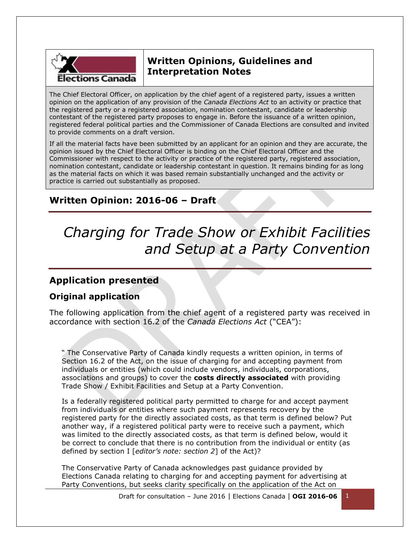

## **Written Opinions, Guidelines and Interpretation Notes**

The Chief Electoral Officer, on application by the chief agent of a registered party, issues a written opinion on the application of any provision of the *Canada Elections Act* to an activity or practice that the registered party or a registered association, nomination contestant, candidate or leadership contestant of the registered party proposes to engage in. Before the issuance of a written opinion, registered federal political parties and the Commissioner of Canada Elections are consulted and invited to provide comments on a draft version.

If all the material facts have been submitted by an applicant for an opinion and they are accurate, the opinion issued by the Chief Electoral Officer is binding on the Chief Electoral Officer and the Commissioner with respect to the activity or practice of the registered party, registered association, nomination contestant, candidate or leadership contestant in question. It remains binding for as long as the material facts on which it was based remain substantially unchanged and the activity or practice is carried out substantially as proposed.

## **Written Opinion: 2016-06 – Draft**

# *Charging for Trade Show or Exhibit Facilities and Setup at a Party Convention*

## **Application presented**

### **Original application**

The following application from the chief agent of a registered party was received in accordance with section 16.2 of the *Canada Elections Act* ("CEA"):

" The Conservative Party of Canada kindly requests a written opinion, in terms of Section 16.2 of the Act, on the issue of charging for and accepting payment from individuals or entities (which could include vendors, individuals, corporations, associations and groups) to cover the **costs directly associated** with providing Trade Show / Exhibit Facilities and Setup at a Party Convention.

Is a federally registered political party permitted to charge for and accept payment from individuals or entities where such payment represents recovery by the registered party for the directly associated costs, as that term is defined below? Put another way, if a registered political party were to receive such a payment, which was limited to the directly associated costs, as that term is defined below, would it be correct to conclude that there is no contribution from the individual or entity (as defined by section I [*editor's note: section 2*] of the Act)?

The Conservative Party of Canada acknowledges past guidance provided by Elections Canada relating to charging for and accepting payment for advertising at Party Conventions, but seeks clarity specifically on the application of the Act on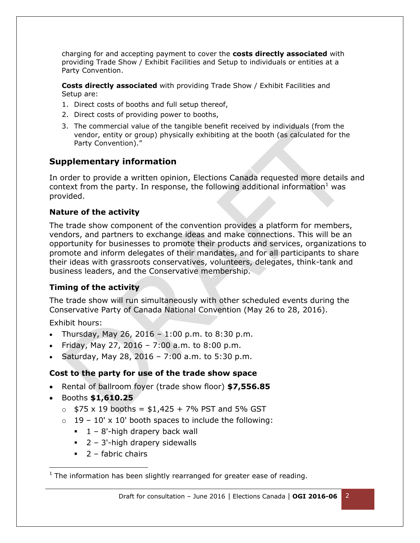charging for and accepting payment to cover the **costs directly associated** with providing Trade Show / Exhibit Facilities and Setup to individuals or entities at a Party Convention.

**Costs directly associated** with providing Trade Show / Exhibit Facilities and Setup are:

- 1. Direct costs of booths and full setup thereof,
- 2. Direct costs of providing power to booths,
- 3. The commercial value of the tangible benefit received by individuals (from the vendor, entity or group) physically exhibiting at the booth (as calculated for the Party Convention)."

#### **Supplementary information**

In order to provide a written opinion, Elections Canada requested more details and context from the party. In response, the following additional information  $1$  was provided.

#### **Nature of the activity**

The trade show component of the convention provides a platform for members, vendors, and partners to exchange ideas and make connections. This will be an opportunity for businesses to promote their products and services, organizations to promote and inform delegates of their mandates, and for all participants to share their ideas with grassroots conservatives, volunteers, delegates, think-tank and business leaders, and the Conservative membership.

#### **Timing of the activity**

The trade show will run simultaneously with other scheduled events during the Conservative Party of Canada National Convention (May 26 to 28, 2016).

Exhibit hours:

l

- Thursday, May 26, 2016 1:00 p.m. to 8:30 p.m.
- Friday, May 27, 2016 7:00 a.m. to 8:00 p.m.
- Saturday, May 28, 2016 7:00 a.m. to 5:30 p.m.

#### **Cost to the party for use of the trade show space**

- Rental of ballroom foyer (trade show floor) **\$7,556.85**
- Booths **\$1,610.25** 
	- $\circ$  \$75 x 19 booths = \$1,425 + 7% PST and 5% GST
	- $\circ$  19 10' x 10' booth spaces to include the following:
		- $\blacksquare$  1 8'-high drapery back wall
		- $\blacksquare$  2 3'-high drapery sidewalls
		- $\overline{2}$  fabric chairs

 $1$  The information has been slightly rearranged for greater ease of reading.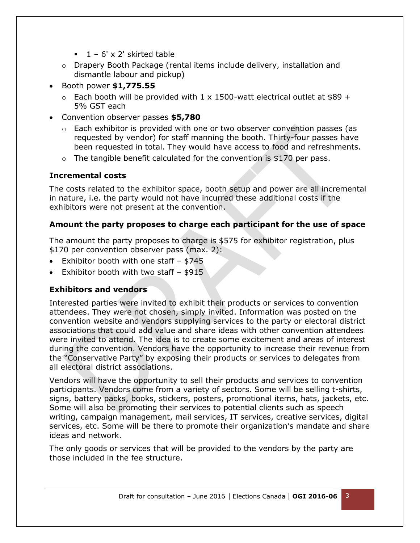- $1 6' \times 2'$  skirted table
- $\circ$  Drapery Booth Package (rental items include delivery, installation and dismantle labour and pickup)
- Booth power **\$1,775.55**
	- $\circ$  Each booth will be provided with 1 x 1500-watt electrical outlet at \$89 + 5% GST each
- Convention observer passes **\$5,780**
	- $\circ$  Each exhibitor is provided with one or two observer convention passes (as requested by vendor) for staff manning the booth. Thirty-four passes have been requested in total. They would have access to food and refreshments.
	- $\circ$  The tangible benefit calculated for the convention is \$170 per pass.

#### **Incremental costs**

The costs related to the exhibitor space, booth setup and power are all incremental in nature, i.e. the party would not have incurred these additional costs if the exhibitors were not present at the convention.

#### **Amount the party proposes to charge each participant for the use of space**

The amount the party proposes to charge is \$575 for exhibitor registration, plus \$170 per convention observer pass (max. 2):

- Exhibitor booth with one staff \$745
- Exhibitor booth with two staff  $-$  \$915

#### **Exhibitors and vendors**

Interested parties were invited to exhibit their products or services to convention attendees. They were not chosen, simply invited. Information was posted on the convention website and vendors supplying services to the party or electoral district associations that could add value and share ideas with other convention attendees were invited to attend. The idea is to create some excitement and areas of interest during the convention. Vendors have the opportunity to increase their revenue from the "Conservative Party" by exposing their products or services to delegates from all electoral district associations.

Vendors will have the opportunity to sell their products and services to convention participants. Vendors come from a variety of sectors. Some will be selling t-shirts, signs, battery packs, books, stickers, posters, promotional items, hats, jackets, etc. Some will also be promoting their services to potential clients such as speech writing, campaign management, mail services, IT services, creative services, digital services, etc. Some will be there to promote their organization's mandate and share ideas and network.

The only goods or services that will be provided to the vendors by the party are those included in the fee structure.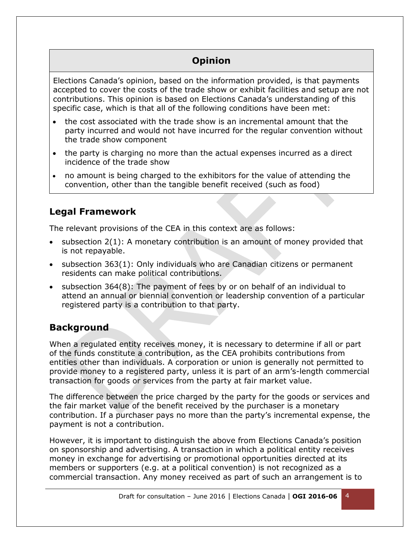# **Opinion**

Elections Canada's opinion, based on the information provided, is that payments accepted to cover the costs of the trade show or exhibit facilities and setup are not contributions. This opinion is based on Elections Canada's understanding of this specific case, which is that all of the following conditions have been met:

- the cost associated with the trade show is an incremental amount that the party incurred and would not have incurred for the regular convention without the trade show component
- the party is charging no more than the actual expenses incurred as a direct incidence of the trade show
- no amount is being charged to the exhibitors for the value of attending the convention, other than the tangible benefit received (such as food)

## **Legal Framework**

The relevant provisions of the CEA in this context are as follows:

- $\bullet$  subsection 2(1): A monetary contribution is an amount of money provided that is not repayable.
- subsection 363(1): Only individuals who are Canadian citizens or permanent residents can make political contributions.
- subsection 364(8): The payment of fees by or on behalf of an individual to attend an annual or biennial convention or leadership convention of a particular registered party is a contribution to that party.

## **Background**

When a regulated entity receives money, it is necessary to determine if all or part of the funds constitute a contribution, as the CEA prohibits contributions from entities other than individuals. A corporation or union is generally not permitted to provide money to a registered party, unless it is part of an arm's-length commercial transaction for goods or services from the party at fair market value.

The difference between the price charged by the party for the goods or services and the fair market value of the benefit received by the purchaser is a monetary contribution. If a purchaser pays no more than the party's incremental expense, the payment is not a contribution.

However, it is important to distinguish the above from Elections Canada's position on sponsorship and advertising. A transaction in which a political entity receives money in exchange for advertising or promotional opportunities directed at its members or supporters (e.g. at a political convention) is not recognized as a commercial transaction. Any money received as part of such an arrangement is to